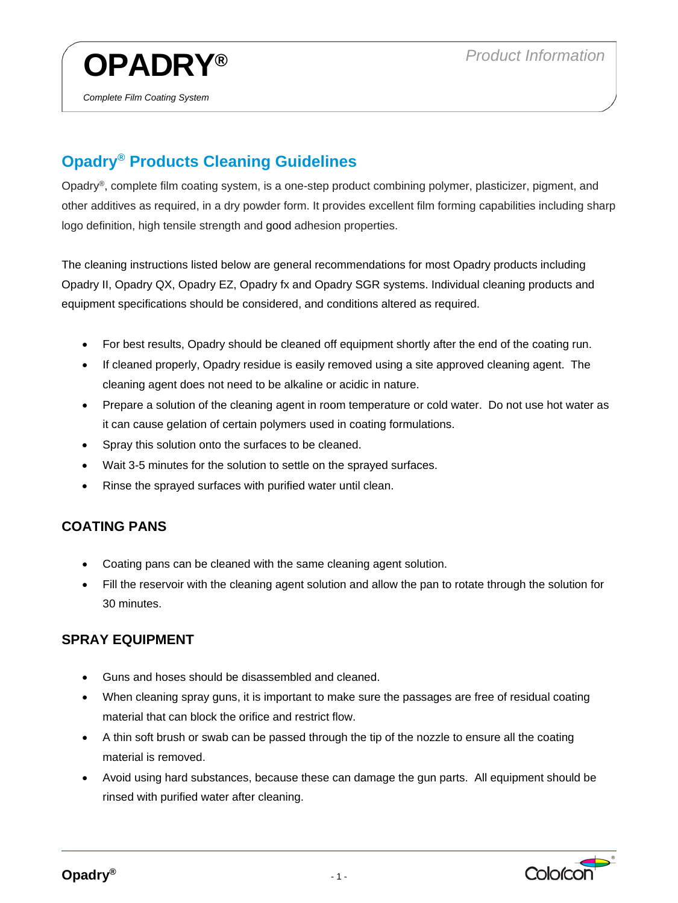

## **Opadry® Products Cleaning Guidelines**

Opadry®, complete film coating system, is a one-step product combining polymer, plasticizer, pigment, and other additives as required, in a dry powder form. It provides excellent film forming capabilities including sharp logo definition, high tensile strength and good adhesion properties.

The cleaning instructions listed below are general recommendations for most Opadry products including Opadry II, Opadry QX, Opadry EZ, Opadry fx and Opadry SGR systems. Individual cleaning products and equipment specifications should be considered, and conditions altered as required.

- For best results, Opadry should be cleaned off equipment shortly after the end of the coating run.
- If cleaned properly, Opadry residue is easily removed using a site approved cleaning agent. The cleaning agent does not need to be alkaline or acidic in nature.
- Prepare a solution of the cleaning agent in room temperature or cold water. Do not use hot water as it can cause gelation of certain polymers used in coating formulations.
- Spray this solution onto the surfaces to be cleaned.
- Wait 3-5 minutes for the solution to settle on the sprayed surfaces.
- Rinse the sprayed surfaces with purified water until clean.

## **COATING PANS**

- Coating pans can be cleaned with the same cleaning agent solution.
- Fill the reservoir with the cleaning agent solution and allow the pan to rotate through the solution for 30 minutes.

## **SPRAY EQUIPMENT**

- Guns and hoses should be disassembled and cleaned.
- When cleaning spray guns, it is important to make sure the passages are free of residual coating material that can block the orifice and restrict flow.
- A thin soft brush or swab can be passed through the tip of the nozzle to ensure all the coating material is removed.
- Avoid using hard substances, because these can damage the gun parts. All equipment should be rinsed with purified water after cleaning.